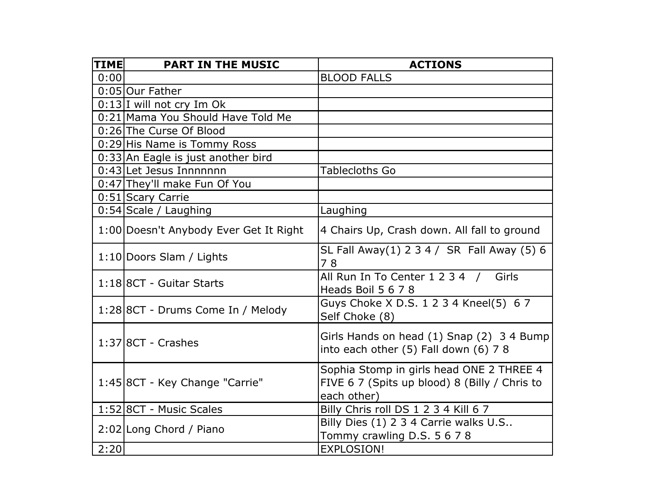| TIME | <b>PART IN THE MUSIC</b>               | <b>ACTIONS</b>                                                                                           |
|------|----------------------------------------|----------------------------------------------------------------------------------------------------------|
| 0:00 |                                        | <b>BLOOD FALLS</b>                                                                                       |
|      | 0:05 Our Father                        |                                                                                                          |
|      | 0:13 I will not cry Im Ok              |                                                                                                          |
|      | 0:21 Mama You Should Have Told Me      |                                                                                                          |
|      | 0:26 The Curse Of Blood                |                                                                                                          |
|      | 0:29 His Name is Tommy Ross            |                                                                                                          |
|      | 0:33 An Eagle is just another bird     |                                                                                                          |
|      | 0:43 Let Jesus Innnnnnn                | Tablecloths Go                                                                                           |
|      | 0:47 They'll make Fun Of You           |                                                                                                          |
|      | 0:51 Scary Carrie                      |                                                                                                          |
|      | 0:54 Scale / Laughing                  | Laughing                                                                                                 |
|      | 1:00 Doesn't Anybody Ever Get It Right | 4 Chairs Up, Crash down. All fall to ground                                                              |
|      | 1:10 Doors Slam / Lights               | SL Fall Away(1) 2 3 4 / SR Fall Away (5) 6<br>78                                                         |
|      | 1:18 8CT - Guitar Starts               | All Run In To Center 1 2 3 4 / Girls<br>Heads Boil 5 6 7 8                                               |
|      | 1:28 8CT - Drums Come In / Melody      | Guys Choke X D.S. 1 2 3 4 Kneel(5) 6 7<br>Self Choke (8)                                                 |
|      | $1:37$ 8CT - Crashes                   | Girls Hands on head (1) Snap (2) 3 4 Bump<br>into each other (5) Fall down (6) 78                        |
|      | 1:45 8CT - Key Change "Carrie"         | Sophia Stomp in girls head ONE 2 THREE 4<br>FIVE 6 7 (Spits up blood) 8 (Billy / Chris to<br>each other) |
|      | 1:52 8CT - Music Scales                | Billy Chris roll DS 1 2 3 4 Kill 6 7                                                                     |
|      | 2:02 Long Chord / Piano                | Billy Dies (1) 2 3 4 Carrie walks U.S<br>Tommy crawling D.S. 5 6 7 8                                     |
| 2:20 |                                        | <b>EXPLOSION!</b>                                                                                        |